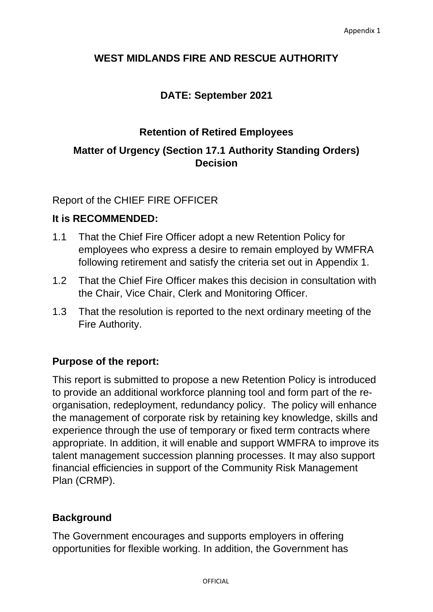# **WEST MIDLANDS FIRE AND RESCUE AUTHORITY**

# **DATE: September 2021**

### **Retention of Retired Employees**

# **Matter of Urgency (Section 17.1 Authority Standing Orders) Decision**

Report of the CHIEF FIRE OFFICER

#### **It is RECOMMENDED:**

- 1.1 That the Chief Fire Officer adopt a new Retention Policy for employees who express a desire to remain employed by WMFRA following retirement and satisfy the criteria set out in Appendix 1.
- 1.2 That the Chief Fire Officer makes this decision in consultation with the Chair, Vice Chair, Clerk and Monitoring Officer.
- 1.3 That the resolution is reported to the next ordinary meeting of the Fire Authority.

# **Purpose of the report:**

This report is submitted to propose a new Retention Policy is introduced to provide an additional workforce planning tool and form part of the reorganisation, redeployment, redundancy policy. The policy will enhance the management of corporate risk by retaining key knowledge, skills and experience through the use of temporary or fixed term contracts where appropriate. In addition, it will enable and support WMFRA to improve its talent management succession planning processes. It may also support financial efficiencies in support of the Community Risk Management Plan (CRMP).

#### **Background**

The Government encourages and supports employers in offering opportunities for flexible working. In addition, the Government has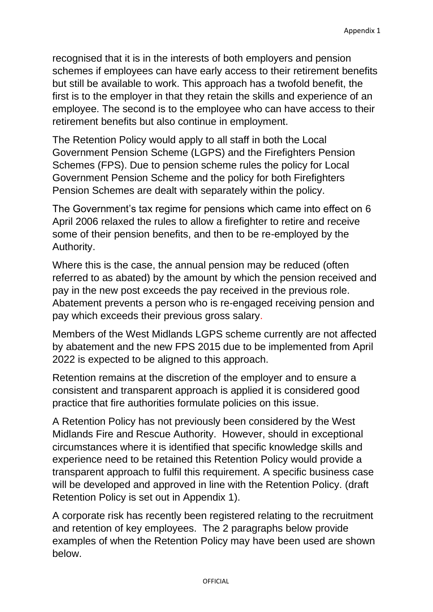recognised that it is in the interests of both employers and pension schemes if employees can have early access to their retirement benefits but still be available to work. This approach has a twofold benefit, the first is to the employer in that they retain the skills and experience of an employee. The second is to the employee who can have access to their retirement benefits but also continue in employment.

The Retention Policy would apply to all staff in both the Local Government Pension Scheme (LGPS) and the Firefighters Pension Schemes (FPS). Due to pension scheme rules the policy for Local Government Pension Scheme and the policy for both Firefighters Pension Schemes are dealt with separately within the policy.

The Government's tax regime for pensions which came into effect on 6 April 2006 relaxed the rules to allow a firefighter to retire and receive some of their pension benefits, and then to be re-employed by the Authority.

Where this is the case, the annual pension may be reduced (often referred to as abated) by the amount by which the pension received and pay in the new post exceeds the pay received in the previous role. Abatement prevents a person who is re-engaged receiving pension and pay which exceeds their previous gross salary.

Members of the West Midlands LGPS scheme currently are not affected by abatement and the new FPS 2015 due to be implemented from April 2022 is expected to be aligned to this approach.

Retention remains at the discretion of the employer and to ensure a consistent and transparent approach is applied it is considered good practice that fire authorities formulate policies on this issue.

A Retention Policy has not previously been considered by the West Midlands Fire and Rescue Authority. However, should in exceptional circumstances where it is identified that specific knowledge skills and experience need to be retained this Retention Policy would provide a transparent approach to fulfil this requirement. A specific business case will be developed and approved in line with the Retention Policy. (draft Retention Policy is set out in Appendix 1).

A corporate risk has recently been registered relating to the recruitment and retention of key employees. The 2 paragraphs below provide examples of when the Retention Policy may have been used are shown below.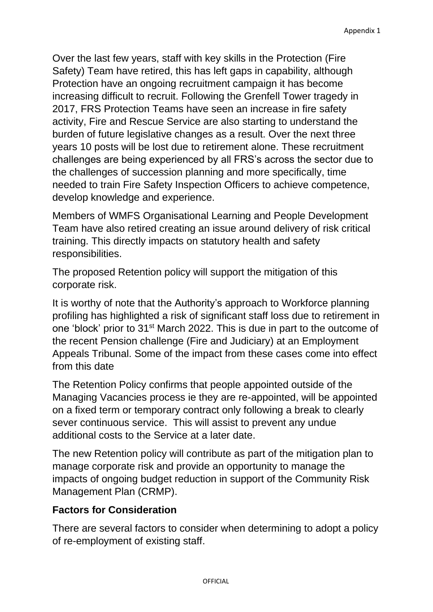Over the last few years, staff with key skills in the Protection (Fire Safety) Team have retired, this has left gaps in capability, although Protection have an ongoing recruitment campaign it has become increasing difficult to recruit. Following the Grenfell Tower tragedy in 2017, FRS Protection Teams have seen an increase in fire safety activity, Fire and Rescue Service are also starting to understand the burden of future legislative changes as a result. Over the next three years 10 posts will be lost due to retirement alone. These recruitment challenges are being experienced by all FRS's across the sector due to the challenges of succession planning and more specifically, time needed to train Fire Safety Inspection Officers to achieve competence, develop knowledge and experience.

Members of WMFS Organisational Learning and People Development Team have also retired creating an issue around delivery of risk critical training. This directly impacts on statutory health and safety responsibilities.

The proposed Retention policy will support the mitigation of this corporate risk.

It is worthy of note that the Authority's approach to Workforce planning profiling has highlighted a risk of significant staff loss due to retirement in one 'block' prior to 31st March 2022. This is due in part to the outcome of the recent Pension challenge (Fire and Judiciary) at an Employment Appeals Tribunal. Some of the impact from these cases come into effect from this date

The Retention Policy confirms that people appointed outside of the Managing Vacancies process ie they are re-appointed, will be appointed on a fixed term or temporary contract only following a break to clearly sever continuous service. This will assist to prevent any undue additional costs to the Service at a later date.

The new Retention policy will contribute as part of the mitigation plan to manage corporate risk and provide an opportunity to manage the impacts of ongoing budget reduction in support of the Community Risk Management Plan (CRMP).

# **Factors for Consideration**

There are several factors to consider when determining to adopt a policy of re-employment of existing staff.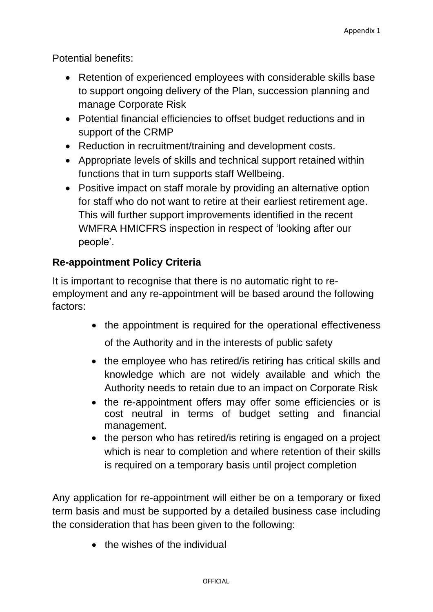Potential benefits:

- Retention of experienced employees with considerable skills base to support ongoing delivery of the Plan, succession planning and manage Corporate Risk
- Potential financial efficiencies to offset budget reductions and in support of the CRMP
- Reduction in recruitment/training and development costs.
- Appropriate levels of skills and technical support retained within functions that in turn supports staff Wellbeing.
- Positive impact on staff morale by providing an alternative option for staff who do not want to retire at their earliest retirement age. This will further support improvements identified in the recent WMFRA HMICFRS inspection in respect of 'looking after our people'.

# **Re-appointment Policy Criteria**

It is important to recognise that there is no automatic right to reemployment and any re-appointment will be based around the following factors:

• the appointment is required for the operational effectiveness

of the Authority and in the interests of public safety

- the employee who has retired/is retiring has critical skills and knowledge which are not widely available and which the Authority needs to retain due to an impact on Corporate Risk
- the re-appointment offers may offer some efficiencies or is cost neutral in terms of budget setting and financial management.
- the person who has retired/is retiring is engaged on a project which is near to completion and where retention of their skills is required on a temporary basis until project completion

Any application for re-appointment will either be on a temporary or fixed term basis and must be supported by a detailed business case including the consideration that has been given to the following:

• the wishes of the individual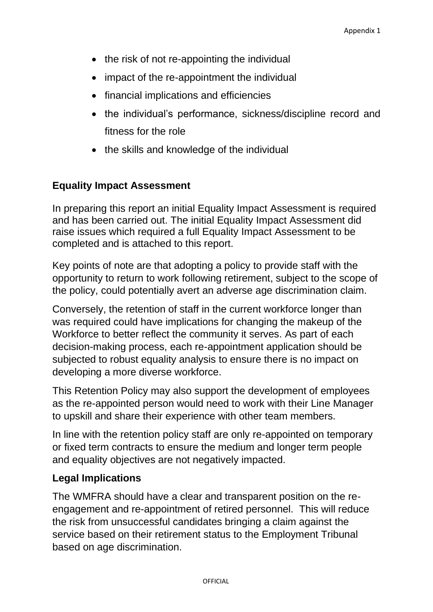- the risk of not re-appointing the individual
- impact of the re-appointment the individual
- financial implications and efficiencies
- the individual's performance, sickness/discipline record and fitness for the role
- the skills and knowledge of the individual

## **Equality Impact Assessment**

In preparing this report an initial Equality Impact Assessment is required and has been carried out. The initial Equality Impact Assessment did raise issues which required a full Equality Impact Assessment to be completed and is attached to this report.

Key points of note are that adopting a policy to provide staff with the opportunity to return to work following retirement, subject to the scope of the policy, could potentially avert an adverse age discrimination claim.

Conversely, the retention of staff in the current workforce longer than was required could have implications for changing the makeup of the Workforce to better reflect the community it serves. As part of each decision-making process, each re-appointment application should be subjected to robust equality analysis to ensure there is no impact on developing a more diverse workforce.

This Retention Policy may also support the development of employees as the re-appointed person would need to work with their Line Manager to upskill and share their experience with other team members.

In line with the retention policy staff are only re-appointed on temporary or fixed term contracts to ensure the medium and longer term people and equality objectives are not negatively impacted.

#### **Legal Implications**

The WMFRA should have a clear and transparent position on the reengagement and re-appointment of retired personnel. This will reduce the risk from unsuccessful candidates bringing a claim against the service based on their retirement status to the Employment Tribunal based on age discrimination.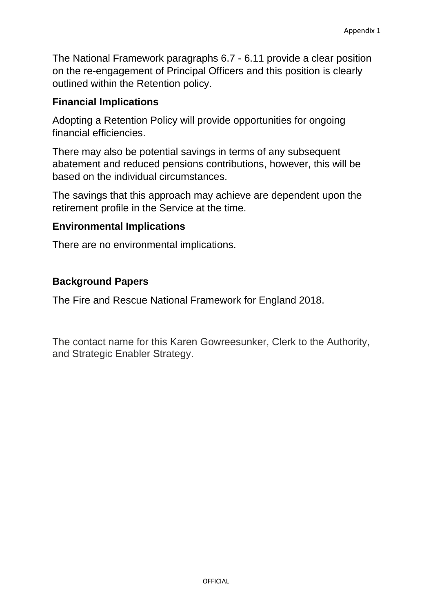The National Framework paragraphs 6.7 - 6.11 provide a clear position on the re-engagement of Principal Officers and this position is clearly outlined within the Retention policy.

# **Financial Implications**

Adopting a Retention Policy will provide opportunities for ongoing financial efficiencies.

There may also be potential savings in terms of any subsequent abatement and reduced pensions contributions, however, this will be based on the individual circumstances.

The savings that this approach may achieve are dependent upon the retirement profile in the Service at the time.

#### **Environmental Implications**

There are no environmental implications.

## **Background Papers**

The Fire and Rescue National Framework for England 2018.

The contact name for this Karen Gowreesunker, Clerk to the Authority, and Strategic Enabler Strategy.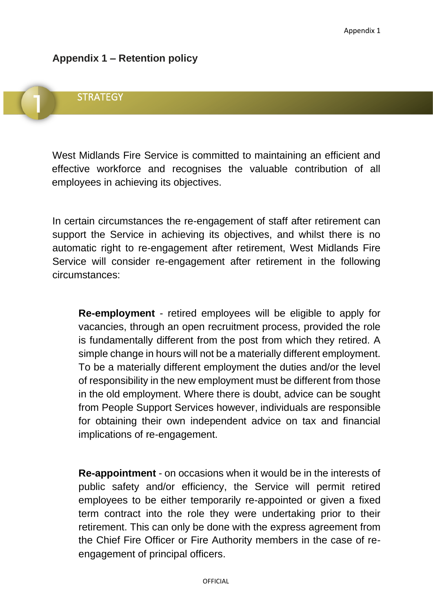#### **Appendix 1 – Retention policy**

# **STRATEGY**

West Midlands Fire Service is committed to maintaining an efficient and effective workforce and recognises the valuable contribution of all employees in achieving its objectives.

In certain circumstances the re-engagement of staff after retirement can support the Service in achieving its objectives, and whilst there is no automatic right to re-engagement after retirement, West Midlands Fire Service will consider re-engagement after retirement in the following circumstances:

**Re-employment** - retired employees will be eligible to apply for vacancies, through an open recruitment process, provided the role is fundamentally different from the post from which they retired. A simple change in hours will not be a materially different employment. To be a materially different employment the duties and/or the level of responsibility in the new employment must be different from those in the old employment. Where there is doubt, advice can be sought from People Support Services however, individuals are responsible for obtaining their own independent advice on tax and financial implications of re-engagement.

**Re-appointment** - on occasions when it would be in the interests of public safety and/or efficiency, the Service will permit retired employees to be either temporarily re-appointed or given a fixed term contract into the role they were undertaking prior to their retirement. This can only be done with the express agreement from the Chief Fire Officer or Fire Authority members in the case of reengagement of principal officers.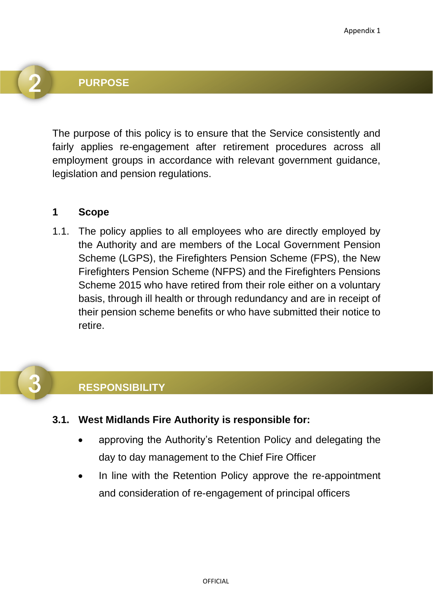#### **PURPOSE**

The purpose of this policy is to ensure that the Service consistently and fairly applies re-engagement after retirement procedures across all employment groups in accordance with relevant government guidance, legislation and pension regulations.

#### **1 Scope**

1.1. The policy applies to all employees who are directly employed by the Authority and are members of the Local Government Pension Scheme (LGPS), the Firefighters Pension Scheme (FPS), the New Firefighters Pension Scheme (NFPS) and the Firefighters Pensions Scheme 2015 who have retired from their role either on a voluntary basis, through ill health or through redundancy and are in receipt of their pension scheme benefits or who have submitted their notice to retire.

# **RESPONSIBILITY**

- **3.1. West Midlands Fire Authority is responsible for:**
	- approving the Authority's Retention Policy and delegating the day to day management to the Chief Fire Officer
	- In line with the Retention Policy approve the re-appointment and consideration of re-engagement of principal officers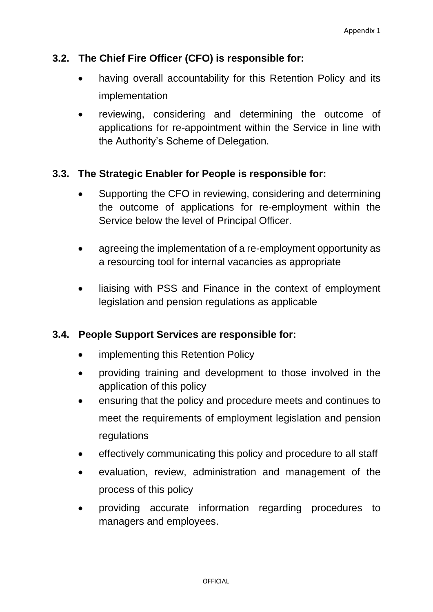## **3.2. The Chief Fire Officer (CFO) is responsible for:**

- having overall accountability for this Retention Policy and its implementation
- reviewing, considering and determining the outcome of applications for re-appointment within the Service in line with the Authority's Scheme of Delegation.

#### **3.3. The Strategic Enabler for People is responsible for:**

- Supporting the CFO in reviewing, considering and determining the outcome of applications for re-employment within the Service below the level of Principal Officer.
- agreeing the implementation of a re-employment opportunity as a resourcing tool for internal vacancies as appropriate
- liaising with PSS and Finance in the context of employment legislation and pension regulations as applicable

#### **3.4. People Support Services are responsible for:**

- implementing this Retention Policy
- providing training and development to those involved in the application of this policy
- ensuring that the policy and procedure meets and continues to meet the requirements of employment legislation and pension regulations
- effectively communicating this policy and procedure to all staff
- evaluation, review, administration and management of the process of this policy
- providing accurate information regarding procedures to managers and employees.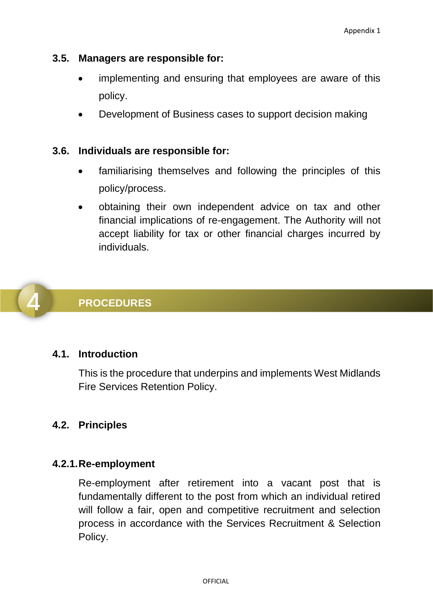#### **3.5. Managers are responsible for:**

- implementing and ensuring that employees are aware of this policy.
- Development of Business cases to support decision making

#### **3.6. Individuals are responsible for:**

- familiarising themselves and following the principles of this policy/process.
- obtaining their own independent advice on tax and other financial implications of re-engagement. The Authority will not accept liability for tax or other financial charges incurred by individuals.



# **PROCEDURES**

#### **4.1. Introduction**

This is the procedure that underpins and implements West Midlands Fire Services Retention Policy.

# **4.2. Principles**

#### **4.2.1.Re-employment**

Re-employment after retirement into a vacant post that is fundamentally different to the post from which an individual retired will follow a fair, open and competitive recruitment and selection process in accordance with the Services Recruitment & Selection Policy.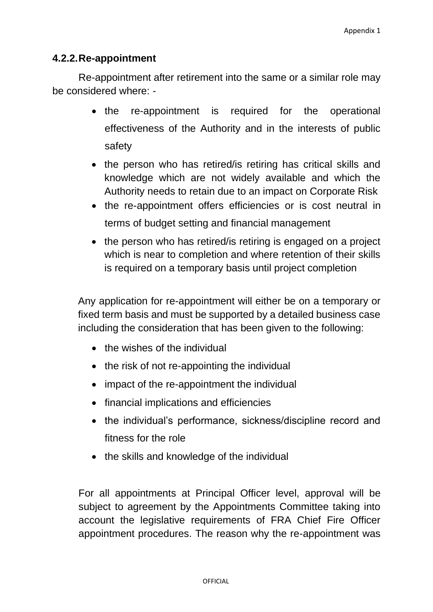### **4.2.2.Re-appointment**

Re-appointment after retirement into the same or a similar role may be considered where: -

- the re-appointment is required for the operational effectiveness of the Authority and in the interests of public safety
- the person who has retired/is retiring has critical skills and knowledge which are not widely available and which the Authority needs to retain due to an impact on Corporate Risk
- the re-appointment offers efficiencies or is cost neutral in terms of budget setting and financial management
- the person who has retired/is retiring is engaged on a project which is near to completion and where retention of their skills is required on a temporary basis until project completion

Any application for re-appointment will either be on a temporary or fixed term basis and must be supported by a detailed business case including the consideration that has been given to the following:

- the wishes of the individual
- the risk of not re-appointing the individual
- impact of the re-appointment the individual
- financial implications and efficiencies
- the individual's performance, sickness/discipline record and fitness for the role
- the skills and knowledge of the individual

For all appointments at Principal Officer level, approval will be subject to agreement by the Appointments Committee taking into account the legislative requirements of FRA Chief Fire Officer appointment procedures. The reason why the re-appointment was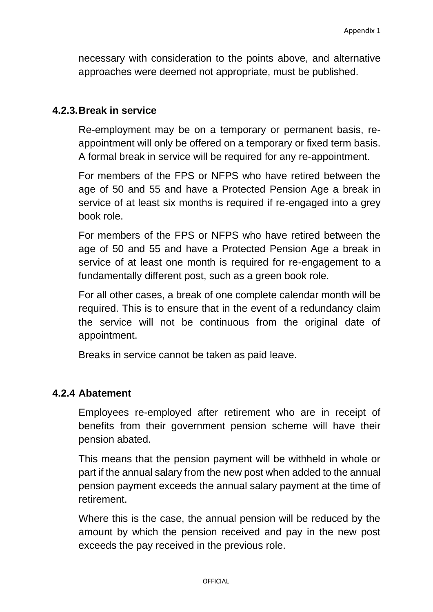necessary with consideration to the points above, and alternative approaches were deemed not appropriate, must be published.

#### **4.2.3.Break in service**

Re-employment may be on a temporary or permanent basis, reappointment will only be offered on a temporary or fixed term basis. A formal break in service will be required for any re-appointment.

For members of the FPS or NFPS who have retired between the age of 50 and 55 and have a Protected Pension Age a break in service of at least six months is required if re-engaged into a grey book role.

For members of the FPS or NFPS who have retired between the age of 50 and 55 and have a Protected Pension Age a break in service of at least one month is required for re-engagement to a fundamentally different post, such as a green book role.

For all other cases, a break of one complete calendar month will be required. This is to ensure that in the event of a redundancy claim the service will not be continuous from the original date of appointment.

Breaks in service cannot be taken as paid leave.

#### **4.2.4 Abatement**

Employees re-employed after retirement who are in receipt of benefits from their government pension scheme will have their pension abated.

This means that the pension payment will be withheld in whole or part if the annual salary from the new post when added to the annual pension payment exceeds the annual salary payment at the time of retirement.

Where this is the case, the annual pension will be reduced by the amount by which the pension received and pay in the new post exceeds the pay received in the previous role.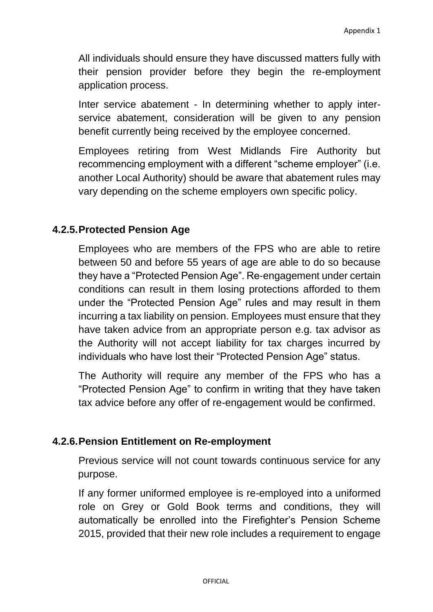All individuals should ensure they have discussed matters fully with their pension provider before they begin the re-employment application process.

Inter service abatement - In determining whether to apply interservice abatement, consideration will be given to any pension benefit currently being received by the employee concerned.

Employees retiring from West Midlands Fire Authority but recommencing employment with a different "scheme employer" (i.e. another Local Authority) should be aware that abatement rules may vary depending on the scheme employers own specific policy.

## **4.2.5.Protected Pension Age**

Employees who are members of the FPS who are able to retire between 50 and before 55 years of age are able to do so because they have a "Protected Pension Age". Re-engagement under certain conditions can result in them losing protections afforded to them under the "Protected Pension Age" rules and may result in them incurring a tax liability on pension. Employees must ensure that they have taken advice from an appropriate person e.g. tax advisor as the Authority will not accept liability for tax charges incurred by individuals who have lost their "Protected Pension Age" status.

The Authority will require any member of the FPS who has a "Protected Pension Age" to confirm in writing that they have taken tax advice before any offer of re-engagement would be confirmed.

#### **4.2.6.Pension Entitlement on Re-employment**

Previous service will not count towards continuous service for any purpose.

If any former uniformed employee is re-employed into a uniformed role on Grey or Gold Book terms and conditions, they will automatically be enrolled into the Firefighter's Pension Scheme 2015, provided that their new role includes a requirement to engage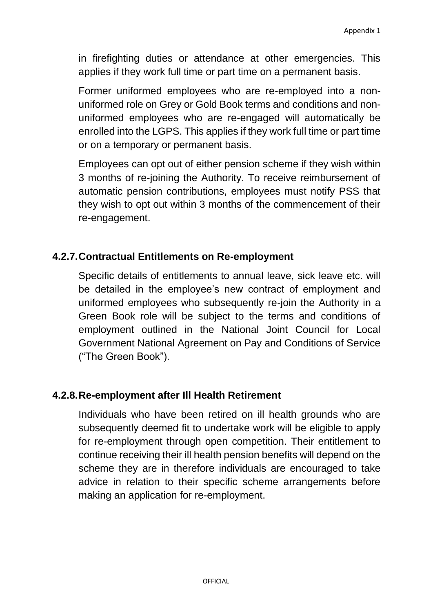in firefighting duties or attendance at other emergencies. This applies if they work full time or part time on a permanent basis.

Former uniformed employees who are re-employed into a nonuniformed role on Grey or Gold Book terms and conditions and nonuniformed employees who are re-engaged will automatically be enrolled into the LGPS. This applies if they work full time or part time or on a temporary or permanent basis.

Employees can opt out of either pension scheme if they wish within 3 months of re-joining the Authority. To receive reimbursement of automatic pension contributions, employees must notify PSS that they wish to opt out within 3 months of the commencement of their re-engagement.

## **4.2.7.Contractual Entitlements on Re-employment**

Specific details of entitlements to annual leave, sick leave etc. will be detailed in the employee's new contract of employment and uniformed employees who subsequently re-join the Authority in a Green Book role will be subject to the terms and conditions of employment outlined in the National Joint Council for Local Government National Agreement on Pay and Conditions of Service ("The Green Book").

#### **4.2.8.Re-employment after Ill Health Retirement**

Individuals who have been retired on ill health grounds who are subsequently deemed fit to undertake work will be eligible to apply for re-employment through open competition. Their entitlement to continue receiving their ill health pension benefits will depend on the scheme they are in therefore individuals are encouraged to take advice in relation to their specific scheme arrangements before making an application for re-employment.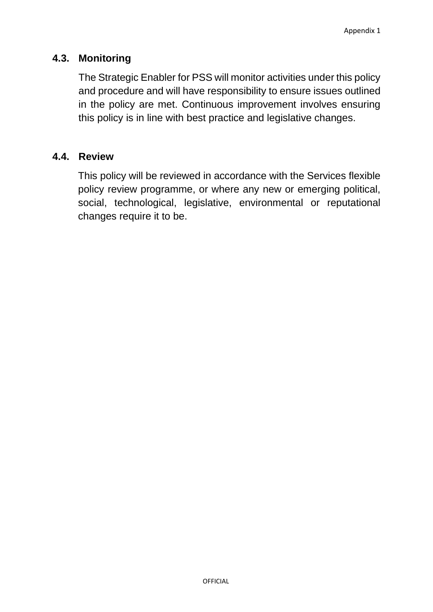### **4.3. Monitoring**

The Strategic Enabler for PSS will monitor activities under this policy and procedure and will have responsibility to ensure issues outlined in the policy are met. Continuous improvement involves ensuring this policy is in line with best practice and legislative changes.

#### **4.4. Review**

This policy will be reviewed in accordance with the Services flexible policy review programme, or where any new or emerging political, social, technological, legislative, environmental or reputational changes require it to be.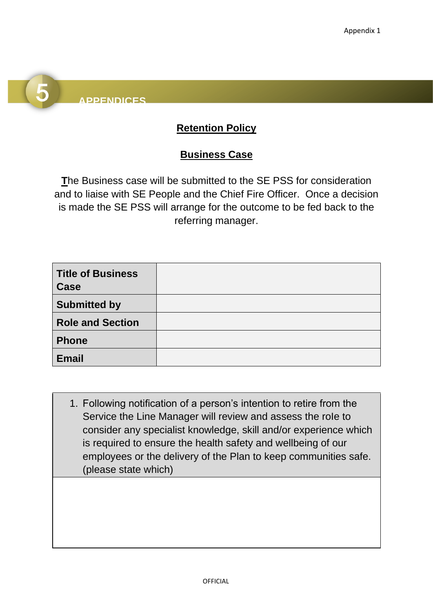# **APPENDICES**

# **Retention Policy**

# **Business Case**

**T**he Business case will be submitted to the SE PSS for consideration and to liaise with SE People and the Chief Fire Officer. Once a decision is made the SE PSS will arrange for the outcome to be fed back to the referring manager.

| <b>Title of Business</b><br><b>Case</b> |  |
|-----------------------------------------|--|
| <b>Submitted by</b>                     |  |
| <b>Role and Section</b>                 |  |
| <b>Phone</b>                            |  |
| <b>Email</b>                            |  |

1. Following notification of a person's intention to retire from the Service the Line Manager will review and assess the role to consider any specialist knowledge, skill and/or experience which is required to ensure the health safety and wellbeing of our employees or the delivery of the Plan to keep communities safe. (please state which)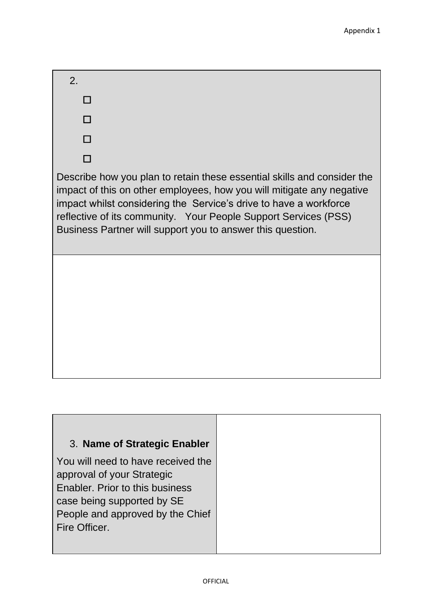| 2.                                                                                                                                                                                                                                                                                                                                                     |
|--------------------------------------------------------------------------------------------------------------------------------------------------------------------------------------------------------------------------------------------------------------------------------------------------------------------------------------------------------|
| LΙ                                                                                                                                                                                                                                                                                                                                                     |
|                                                                                                                                                                                                                                                                                                                                                        |
|                                                                                                                                                                                                                                                                                                                                                        |
|                                                                                                                                                                                                                                                                                                                                                        |
| Describe how you plan to retain these essential skills and consider the<br>impact of this on other employees, how you will mitigate any negative<br>impact whilst considering the Service's drive to have a workforce<br>reflective of its community. Your People Support Services (PSS)<br>Business Partner will support you to answer this question. |
|                                                                                                                                                                                                                                                                                                                                                        |
|                                                                                                                                                                                                                                                                                                                                                        |
|                                                                                                                                                                                                                                                                                                                                                        |
| Nama of Stratonic Enahlar                                                                                                                                                                                                                                                                                                                              |

# 3. **Name of Strategic Enabler**

You will need to have received the approval of your Strategic Enabler. Prior to this business case being supported by SE People and approved by the Chief Fire Officer.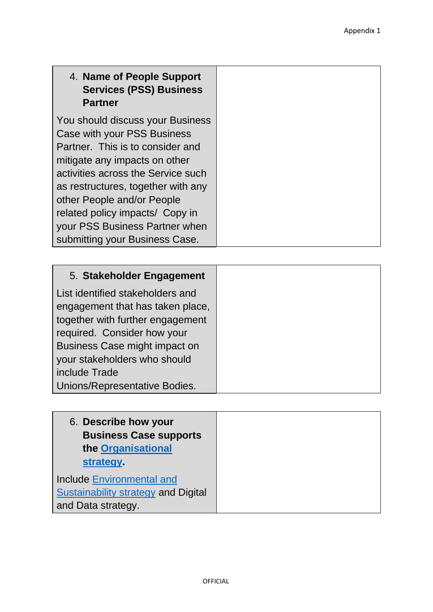# 4. **Name of People Support Services (PSS) Business Partner**

You should discuss your Business Case with your PSS Business Partner. This is to consider and mitigate any impacts on other activities across the Service such as restructures, together with any other People and/or People related policy impacts/ Copy in your PSS Business Partner when submitting your Business Case.

| 5. Stakeholder Engagement        |
|----------------------------------|
| List identified stakeholders and |
| engagement that has taken place, |
| together with further engagement |
| required. Consider how your      |
| Business Case might impact on    |
| your stakeholders who should     |
| include Trade                    |
| Unions/Representative Bodies.    |

| 6. Describe how your<br><b>Business Case supports</b><br>the Organisational<br>strategy. |
|------------------------------------------------------------------------------------------|
| <b>Include Environmental and</b><br><b>Sustainability strategy and Digital</b>           |
| and Data strategy.                                                                       |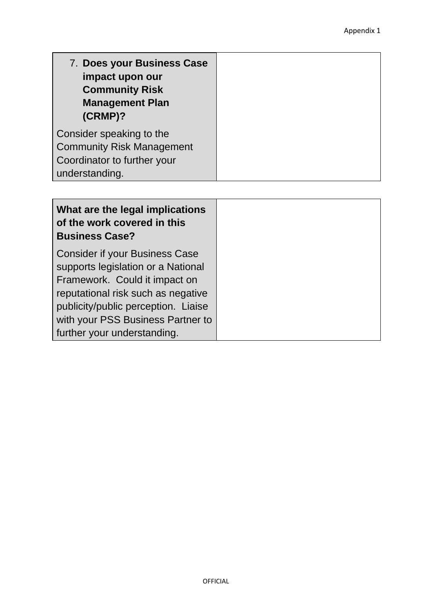| What are the legal implications<br>of the work covered in this<br><b>Business Case?</b> |
|-----------------------------------------------------------------------------------------|
| <b>Consider if your Business Case</b>                                                   |
| supports legislation or a National                                                      |
| Framework. Could it impact on                                                           |
| reputational risk such as negative                                                      |
| publicity/public perception. Liaise                                                     |
| with your PSS Business Partner to                                                       |
| further your understanding.                                                             |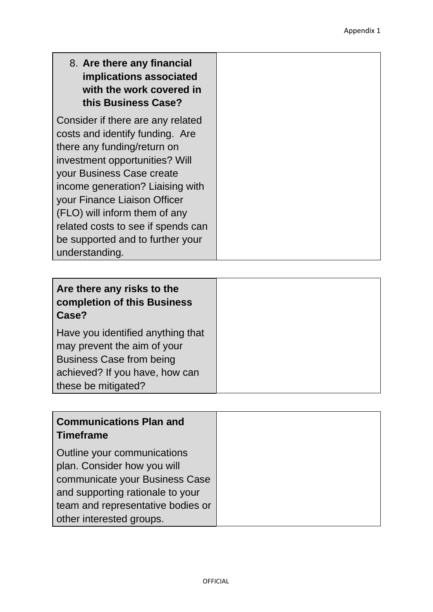| 8. Are there any financial<br>implications associated<br>with the work covered in<br>this Business Case? |
|----------------------------------------------------------------------------------------------------------|
| Consider if there are any related<br>costs and identify funding. Are                                     |
| there any funding/return on                                                                              |
| investment opportunities? Will<br>your Business Case create                                              |
| income generation? Liaising with                                                                         |
| your Finance Liaison Officer<br>(FLO) will inform them of any                                            |
| related costs to see if spends can                                                                       |
| be supported and to further your<br>understanding.                                                       |

| Are there any risks to the<br>completion of this Business<br>Case?                                                                                           |
|--------------------------------------------------------------------------------------------------------------------------------------------------------------|
| Have you identified anything that<br>may prevent the aim of your<br><b>Business Case from being</b><br>achieved? If you have, how can<br>these be mitigated? |

| <b>Communications Plan and</b><br><b>Timeframe</b>                                                                                                                                                |
|---------------------------------------------------------------------------------------------------------------------------------------------------------------------------------------------------|
| Outline your communications<br>plan. Consider how you will<br>communicate your Business Case<br>and supporting rationale to your<br>team and representative bodies or<br>other interested groups. |